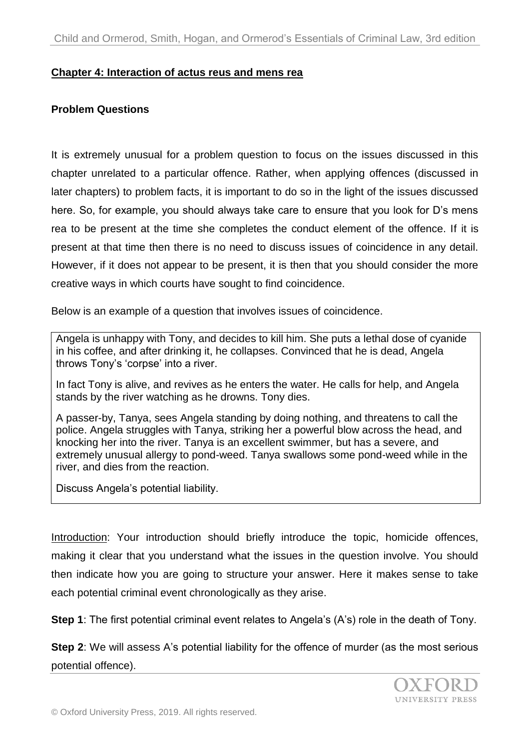#### **Chapter 4: Interaction of actus reus and mens rea**

## **Problem Questions**

It is extremely unusual for a problem question to focus on the issues discussed in this chapter unrelated to a particular offence. Rather, when applying offences (discussed in later chapters) to problem facts, it is important to do so in the light of the issues discussed here. So, for example, you should always take care to ensure that you look for D's mens rea to be present at the time she completes the conduct element of the offence. If it is present at that time then there is no need to discuss issues of coincidence in any detail. However, if it does not appear to be present, it is then that you should consider the more creative ways in which courts have sought to find coincidence.

Below is an example of a question that involves issues of coincidence.

Angela is unhappy with Tony, and decides to kill him. She puts a lethal dose of cyanide in his coffee, and after drinking it, he collapses. Convinced that he is dead, Angela throws Tony's 'corpse' into a river.

In fact Tony is alive, and revives as he enters the water. He calls for help, and Angela stands by the river watching as he drowns. Tony dies.

A passer-by, Tanya, sees Angela standing by doing nothing, and threatens to call the police. Angela struggles with Tanya, striking her a powerful blow across the head, and knocking her into the river. Tanya is an excellent swimmer, but has a severe, and extremely unusual allergy to pond-weed. Tanya swallows some pond-weed while in the river, and dies from the reaction.

Discuss Angela's potential liability.

Introduction: Your introduction should briefly introduce the topic, homicide offences, making it clear that you understand what the issues in the question involve. You should then indicate how you are going to structure your answer. Here it makes sense to take each potential criminal event chronologically as they arise.

**Step 1**: The first potential criminal event relates to Angela's (A's) role in the death of Tony.

**Step 2:** We will assess A's potential liability for the offence of murder (as the most serious potential offence).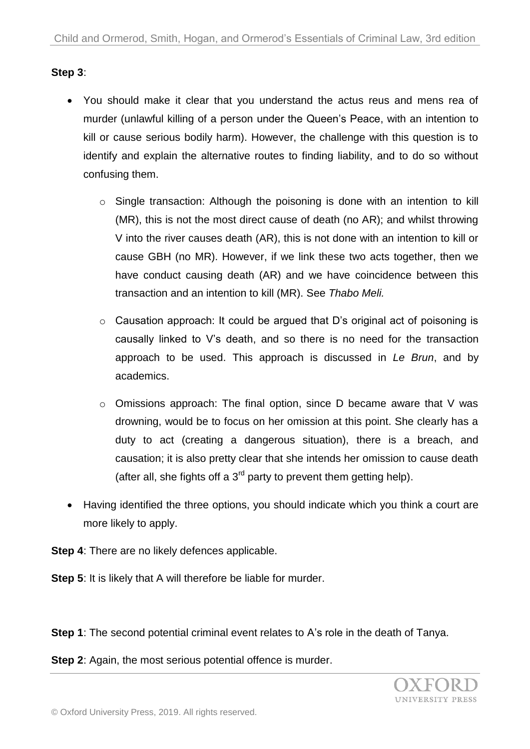# **Step 3**:

- You should make it clear that you understand the actus reus and mens rea of murder (unlawful killing of a person under the Queen's Peace, with an intention to kill or cause serious bodily harm). However, the challenge with this question is to identify and explain the alternative routes to finding liability, and to do so without confusing them.
	- o Single transaction: Although the poisoning is done with an intention to kill (MR), this is not the most direct cause of death (no AR); and whilst throwing V into the river causes death (AR), this is not done with an intention to kill or cause GBH (no MR). However, if we link these two acts together, then we have conduct causing death (AR) and we have coincidence between this transaction and an intention to kill (MR). See *Thabo Meli.*
	- o Causation approach: It could be argued that D's original act of poisoning is causally linked to V's death, and so there is no need for the transaction approach to be used. This approach is discussed in *Le Brun*, and by academics.
	- o Omissions approach: The final option, since D became aware that V was drowning, would be to focus on her omission at this point. She clearly has a duty to act (creating a dangerous situation), there is a breach, and causation; it is also pretty clear that she intends her omission to cause death (after all, she fights off a  $3<sup>rd</sup>$  party to prevent them getting help).
- Having identified the three options, you should indicate which you think a court are more likely to apply.
- **Step 4:** There are no likely defences applicable.
- **Step 5**: It is likely that A will therefore be liable for murder.

**Step 1**: The second potential criminal event relates to A's role in the death of Tanya.

**Step 2**: Again, the most serious potential offence is murder.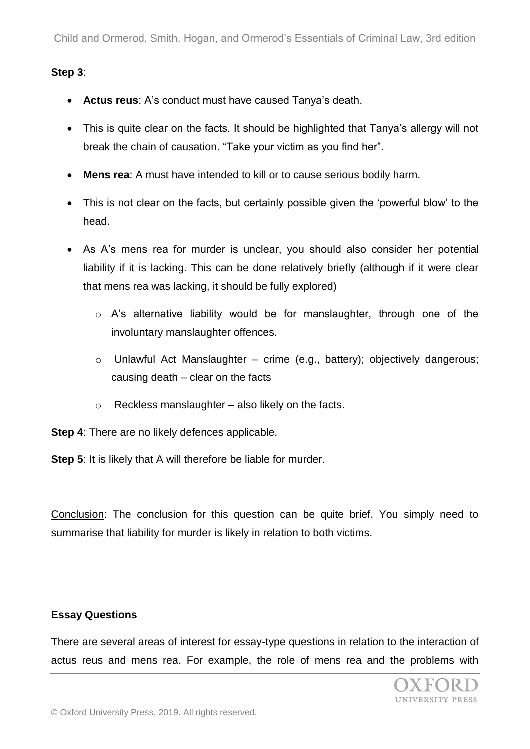## **Step 3**:

- **Actus reus**: A's conduct must have caused Tanya's death.
- This is quite clear on the facts. It should be highlighted that Tanya's allergy will not break the chain of causation. "Take your victim as you find her".
- **Mens rea**: A must have intended to kill or to cause serious bodily harm.
- This is not clear on the facts, but certainly possible given the 'powerful blow' to the head.
- As A's mens rea for murder is unclear, you should also consider her potential liability if it is lacking. This can be done relatively briefly (although if it were clear that mens rea was lacking, it should be fully explored)
	- o A's alternative liability would be for manslaughter, through one of the involuntary manslaughter offences.
	- o Unlawful Act Manslaughter crime (e.g., battery); objectively dangerous; causing death – clear on the facts
	- $\circ$  Reckless manslaughter also likely on the facts.
- **Step 4**: There are no likely defences applicable.

**Step 5**: It is likely that A will therefore be liable for murder.

Conclusion: The conclusion for this question can be quite brief. You simply need to summarise that liability for murder is likely in relation to both victims.

#### **Essay Questions**

There are several areas of interest for essay-type questions in relation to the interaction of actus reus and mens rea. For example, the role of mens rea and the problems with

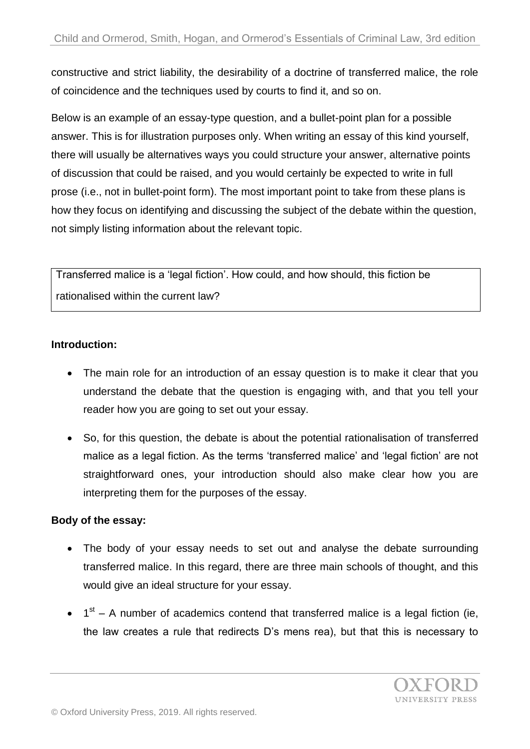constructive and strict liability, the desirability of a doctrine of transferred malice, the role of coincidence and the techniques used by courts to find it, and so on.

Below is an example of an essay-type question, and a bullet-point plan for a possible answer. This is for illustration purposes only. When writing an essay of this kind yourself, there will usually be alternatives ways you could structure your answer, alternative points of discussion that could be raised, and you would certainly be expected to write in full prose (i.e., not in bullet-point form). The most important point to take from these plans is how they focus on identifying and discussing the subject of the debate within the question, not simply listing information about the relevant topic.

Transferred malice is a 'legal fiction'. How could, and how should, this fiction be rationalised within the current law?

# **Introduction:**

- The main role for an introduction of an essay question is to make it clear that you understand the debate that the question is engaging with, and that you tell your reader how you are going to set out your essay.
- So, for this question, the debate is about the potential rationalisation of transferred malice as a legal fiction. As the terms 'transferred malice' and 'legal fiction' are not straightforward ones, your introduction should also make clear how you are interpreting them for the purposes of the essay.

# **Body of the essay:**

- The body of your essay needs to set out and analyse the debate surrounding transferred malice. In this regard, there are three main schools of thought, and this would give an ideal structure for your essay.
- $\bullet$  1<sup>st</sup> A number of academics contend that transferred malice is a legal fiction (ie, the law creates a rule that redirects D's mens rea), but that this is necessary to